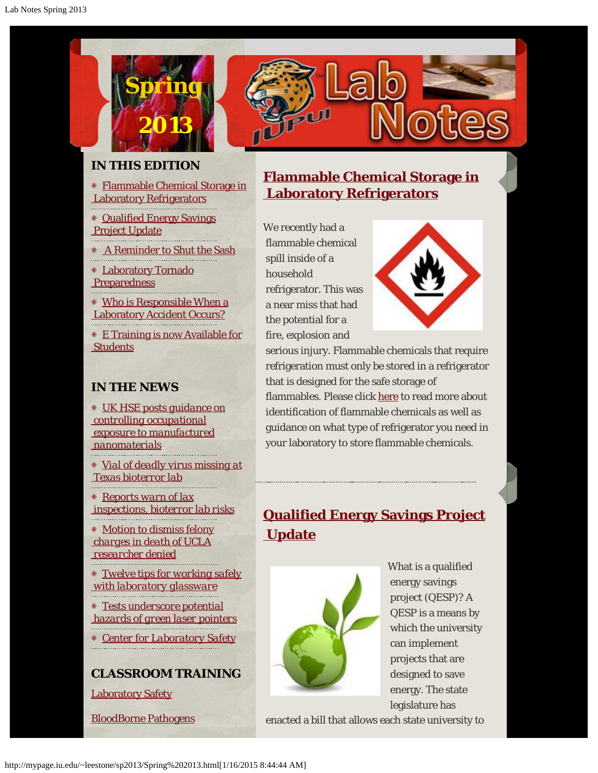

### **IN THIS EDITION**

[Flammable Chemical Storage in](http://mypage.iu.edu/~leestone/sp2013/sp2013pg1.html)  [Laboratory Refrigerators](http://mypage.iu.edu/~leestone/sp2013/sp2013pg1.html)

- [Qualified Energy Savings](http://mypage.iu.edu/~leestone/sp2013/sp2013pg2.html)  [Project Update](http://mypage.iu.edu/~leestone/sp2013/sp2013pg2.html)
- [A Reminder to Shut the Sash](http://mypage.iu.edu/~leestone/sp2013/sp2013pg3.html)
- [Laboratory Tornado](http://protect.iu.edu/sites/default/files/Tornado_Preparedness_for_Laboratories_2_0.pdf) **Preparedness**
- [Who is Responsible When a](http://mypage.iu.edu/~leestone/sp2013/sp2013pg4.html)  [Laboratory Accident Occurs?](http://mypage.iu.edu/~leestone/sp2013/sp2013pg4.html)

[E Training is now Available for](http://mypage.iu.edu/~leestone/sp2013/Student E Training Access Instructions.swf) **Students** 

### **IN THE NEWS**

*[UK HSE posts guidance on](http://www.nano.org.uk/news/1877/)  [controlling occupational](http://www.nano.org.uk/news/1877/)  [exposure to manufactured](http://www.nano.org.uk/news/1877/)  [nanomaterials](http://www.nano.org.uk/news/1877/)*

*[Vial of deadly virus missing at](http://www.usatoday.com/story/news/nation/2013/03/25/virus-sample-missing-from-galveston-national-laboratory/2018887/)  [Texas bioterror lab](http://www.usatoday.com/story/news/nation/2013/03/25/virus-sample-missing-from-galveston-national-laboratory/2018887/)*

*[Reports warn of lax](http://www.usatoday.com/story/news/nation/2013/03/25/report-cite-increased-bioterror-lab-risks/2011007/)  [inspections, bioterror lab risks](http://www.usatoday.com/story/news/nation/2013/03/25/report-cite-increased-bioterror-lab-risks/2011007/)*

*[Motion to dismiss felony](http://mypage.iu.edu/~leestone/sp2013/motiontodismiss.pdf)  [charges in death of UCLA](http://mypage.iu.edu/~leestone/sp2013/motiontodismiss.pdf)  [researcher denied](http://mypage.iu.edu/~leestone/sp2013/motiontodismiss.pdf)*

*[Twelve tips for working safely](http://mypage.iu.edu/~leestone/sp2013/glass.pdf)  [with laboratory glassware](http://mypage.iu.edu/~leestone/sp2013/glass.pdf)*

*[Tests underscore potential](http://www.sciencedaily.com/releases/2013/03/130320135929.htm)  [hazards of green laser pointers](http://www.sciencedaily.com/releases/2013/03/130320135929.htm)*

*[Center for Laboratory Safet](http://cls.ucla.edu/)*[y](http://cls.ucla.edu/)

**CLASSROOM TRAINING**

[Laboratory Safety](http://ehs.iupui.edu/training.asp?content=laboratory-safety-training-schedule)

[BloodBorne Pathogens](http://ehs.iupui.edu/training.asp?content=bloodborne-pathogens-training-schedule)

### **[Flammable Chemical Storage in](http://mypage.iu.edu/~leestone/sp2013/sp2013pg1.html)  [Laboratory Refrigerators](http://mypage.iu.edu/~leestone/sp2013/sp2013pg1.html)**

We recently had a flammable chemical spill inside of a household refrigerator. This was a near miss that had the potential for a fire, explosion and



 serious injury. Flammable chemicals that require refrigeration must only be stored in a refrigerator that is designed for the safe storage of flammables. Please click [here](http://mypage.iu.edu/~leestone/sp2013/sp2013pg1.html) to read more about identification of flammable chemicals as well as guidance on what type of refrigerator you need in your laboratory to store flammable chemicals.

# **[Qualified Energy Savings Project](http://mypage.iu.edu/~leestone/sp2013/sp2013pg2.html)  [Update](http://mypage.iu.edu/~leestone/sp2013/sp2013pg2.html)**



What is a qualified energy savings project (QESP)? A QESP is a means by which the university can implement projects that are designed to save energy. The state legislature has

enacted a bill that allows each state university to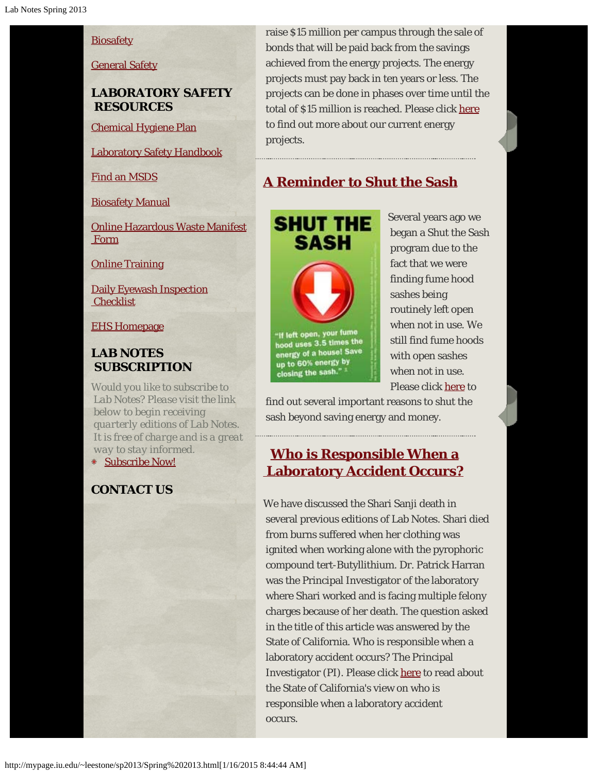### **[Biosafety](http://ehs.iupui.edu/biosafety.asp)**

#### [General Safety](http://ehs.iupui.edu/training.asp?content=new-employee-safety-orientation-schedule)

#### **LABORATORY SAFETY RESOURCES**

[Chemical Hygiene Plan](http://mypage.iu.edu/~leestone/sm2012/chemicalhygiene2012REVISION.pdf)

[Laboratory Safety Handbook](http://ehs.iupui.edu/content/doclib/LabSafetyHandbookRevision2008Final.pdf)

[Find an MSDS](http://hq.msdsonline.com/iupui2691/Search/Default.aspx)

[Biosafety Manual](http://ehs.iupui.edu/content/doclib/IUPUI%20Biosafety%20Manual%20v0502.pdf)

[Online Hazardous Waste Manifest](http://ehs.iupui.edu/waste-manifest.asp)  [Form](http://ehs.iupui.edu/waste-manifest.asp)

**[Online Training](http://ehs.iupui.edu/training.asp)** 

[Daily Eyewash Inspection](http://ehs.iupui.edu/content/doclib/eyewash%20checklist.pdf) **Checklist** 

[EHS Homepage](http://ehs.iupui.edu/)

### **LAB NOTES SUBSCRIPTION**

*Would you like to subscribe to Lab Notes? Please visit the link below to begin receiving quarterly editions of Lab Notes. It is free of charge and is a great way to stay informed.* [Subscribe Now!](http://ehs.iupui.edu/lab-notes-registration.asp)

### **CONTACT US**

 raise \$15 million per campus through the sale of bonds that will be paid back from the savings achieved from the energy projects. The energy projects must pay back in ten years or less. The projects can be done in phases over time until the total of \$15 million is reached. Please click [here](http://mypage.iu.edu/~leestone/sp2013/sp2013pg2.html) to find out more about our current energy projects.

# **[A Reminder to Shut the Sash](http://mypage.iu.edu/~leestone/sp2013/sp2013pg3.html)**



hood uses 3.5 times the energy of a house! Save up to 60% energy by closing the sash."

Several years ago we began a Shut the Sash program due to the fact that we were finding fume hood sashes being routinely left open when not in use. We still find fume hoods with open sashes when not in use. Please click [here](http://mypage.iu.edu/~leestone/sp2013/sp2013pg3.html) to

 find out several important reasons to shut the sash beyond saving energy and money.

### **[Who is Responsible When a](http://mypage.iu.edu/~leestone/sp2013/sp2013pg4.html)  [Laboratory Accident Occurs?](http://mypage.iu.edu/~leestone/sp2013/sp2013pg4.html)**

We have discussed the Shari Sanji death in several previous editions of Lab Notes. Shari died from burns suffered when her clothing was ignited when working alone with the pyrophoric compound tert-Butyllithium. Dr. Patrick Harran was the Principal Investigator of the laboratory where Shari worked and is facing multiple felony charges because of her death. The question asked in the title of this article was answered by the State of California. Who is responsible when a laboratory accident occurs? The Principal Investigator (PI). Please click [here](http://mypage.iu.edu/~leestone/sp2013/sp2013pg4.html) to read about the State of California's view on who is responsible when a laboratory accident occurs.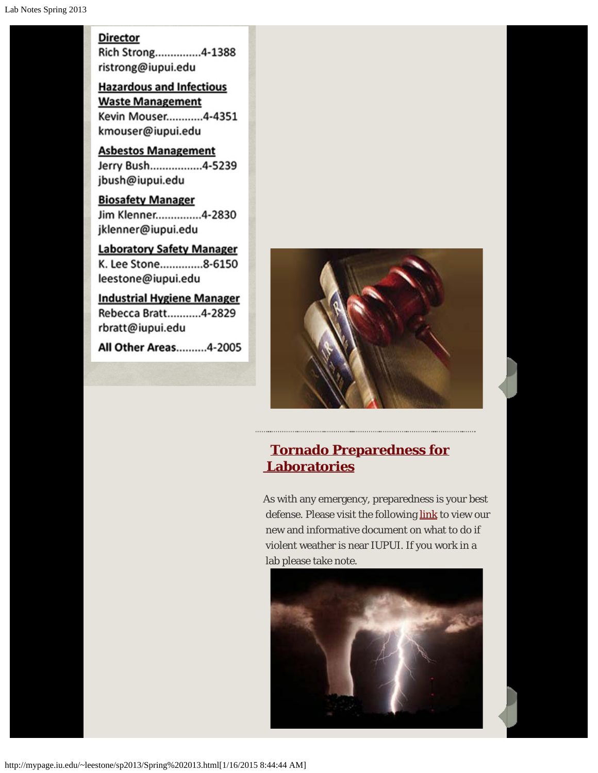#### **Director**

Rich Strong...............4-1388 ristrong@iupui.edu

**Hazardous and Infectious Waste Management** Kevin Mouser............4-4351 kmouser@iupui.edu

**Asbestos Management** Jerry Bush................4-5239 jbush@iupui.edu

**Biosafety Manager** Jim Klenner...............4-2830 jklenner@iupui.edu

**Laboratory Safety Manager** K. Lee Stone...............8-6150 leestone@iupui.edu

**Industrial Hygiene Manager** Rebecca Bratt...........4-2829 rbratt@iupui.edu

All Other Areas..........4-2005



# **[Tornado Preparedness for](http://protect.iu.edu/sites/default/files/Tornado_Preparedness_for_Laboratories_2_0.pdf)  [Laboratories](http://protect.iu.edu/sites/default/files/Tornado_Preparedness_for_Laboratories_2_0.pdf)**

As with any emergency, preparedness is your best defense. Please visit the following [link](http://protect.iu.edu/sites/default/files/Tornado_Preparedness_for_Laboratories_2_0.pdf) to view our new and informative document on what to do if violent weather is near IUPUI. If you work in a lab please take note.